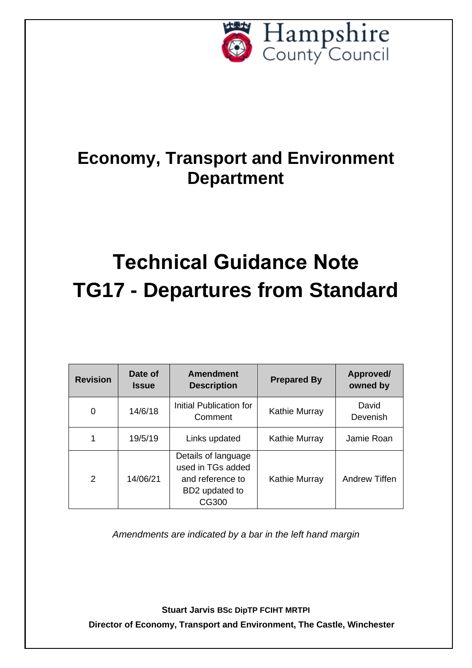

# **Economy, Transport and Environment Department**

# **Technical Guidance Note TG17 - Departures from Standard**

| <b>Revision</b> | Date of<br><b>Issue</b> | Amendment<br><b>Description</b>                                                         | <b>Prepared By</b> | Approved/<br>owned by |
|-----------------|-------------------------|-----------------------------------------------------------------------------------------|--------------------|-----------------------|
| 0               | 14/6/18                 | Initial Publication for<br>Comment                                                      | Kathie Murray      | David<br>Devenish     |
| 1               | 19/5/19                 | Links updated                                                                           | Kathie Murray      | Jamie Roan            |
| $\mathcal{P}$   | 14/06/21                | Details of language<br>used in TGs added<br>and reference to<br>BD2 updated to<br>CG300 | Kathie Murray      | Andrew Tiffen         |

*Amendments are indicated by a bar in the left hand margin*

**Stuart Jarvis BSc DipTP FCIHT MRTPI Director of Economy, Transport and Environment, The Castle, Winchester**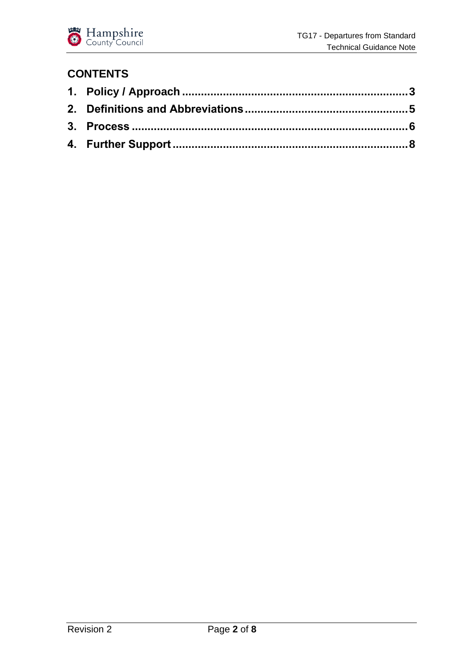

#### **CONTENTS**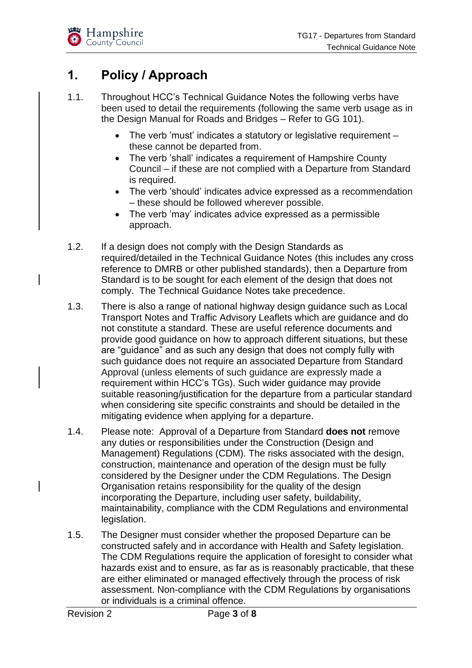# <span id="page-2-0"></span>**1. Policy / Approach**

- 1.1. Throughout HCC's Technical Guidance Notes the following verbs have been used to detail the requirements (following the same verb usage as in the Design Manual for Roads and Bridges – Refer to GG 101).
	- The verb 'must' indicates a statutory or legislative requirement these cannot be departed from.
	- The verb 'shall' indicates a requirement of Hampshire County Council – if these are not complied with a Departure from Standard is required.
	- The verb 'should' indicates advice expressed as a recommendation – these should be followed wherever possible.
	- The verb 'may' indicates advice expressed as a permissible approach.
- 1.2. If a design does not comply with the Design Standards as required/detailed in the Technical Guidance Notes (this includes any cross reference to DMRB or other published standards), then a Departure from Standard is to be sought for each element of the design that does not comply. The Technical Guidance Notes take precedence.
- 1.3. There is also a range of national highway design guidance such as Local Transport Notes and Traffic Advisory Leaflets which are guidance and do not constitute a standard. These are useful reference documents and provide good guidance on how to approach different situations, but these are "guidance" and as such any design that does not comply fully with such guidance does not require an associated Departure from Standard Approval (unless elements of such guidance are expressly made a requirement within HCC's TGs). Such wider guidance may provide suitable reasoning/justification for the departure from a particular standard when considering site specific constraints and should be detailed in the mitigating evidence when applying for a departure.
- 1.4. Please note: Approval of a Departure from Standard **does not** remove any duties or responsibilities under the Construction (Design and Management) Regulations (CDM). The risks associated with the design, construction, maintenance and operation of the design must be fully considered by the Designer under the CDM Regulations. The Design Organisation retains responsibility for the quality of the design incorporating the Departure, including user safety, buildability, maintainability, compliance with the CDM Regulations and environmental legislation.
- 1.5. The Designer must consider whether the proposed Departure can be constructed safely and in accordance with Health and Safety legislation. The CDM Regulations require the application of foresight to consider what hazards exist and to ensure, as far as is reasonably practicable, that these are either eliminated or managed effectively through the process of risk assessment. Non-compliance with the CDM Regulations by organisations or individuals is a criminal offence.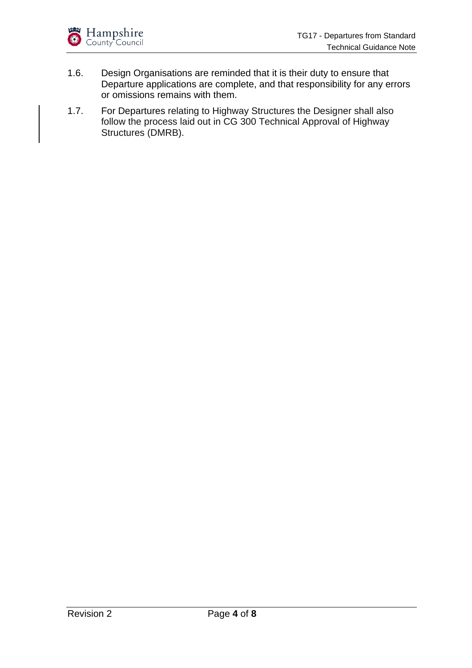

- 1.6. Design Organisations are reminded that it is their duty to ensure that Departure applications are complete, and that responsibility for any errors or omissions remains with them.
- 1.7. For Departures relating to Highway Structures the Designer shall also follow the process laid out in CG 300 Technical Approval of Highway Structures (DMRB).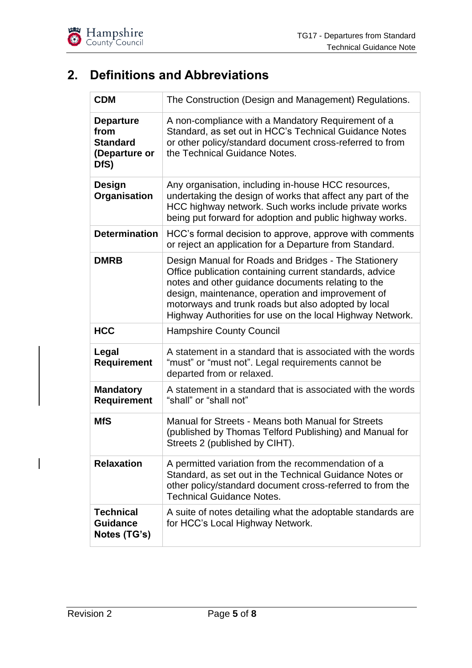

# <span id="page-4-0"></span>**2. Definitions and Abbreviations**

| <b>CDM</b>                                                           | The Construction (Design and Management) Regulations.                                                                                                                                                                                                                                                                                          |
|----------------------------------------------------------------------|------------------------------------------------------------------------------------------------------------------------------------------------------------------------------------------------------------------------------------------------------------------------------------------------------------------------------------------------|
| <b>Departure</b><br>from<br><b>Standard</b><br>(Departure or<br>DfS) | A non-compliance with a Mandatory Requirement of a<br>Standard, as set out in HCC's Technical Guidance Notes<br>or other policy/standard document cross-referred to from<br>the Technical Guidance Notes.                                                                                                                                      |
| <b>Design</b><br><b>Organisation</b>                                 | Any organisation, including in-house HCC resources,<br>undertaking the design of works that affect any part of the<br>HCC highway network. Such works include private works<br>being put forward for adoption and public highway works.                                                                                                        |
| <b>Determination</b>                                                 | HCC's formal decision to approve, approve with comments<br>or reject an application for a Departure from Standard.                                                                                                                                                                                                                             |
| <b>DMRB</b>                                                          | Design Manual for Roads and Bridges - The Stationery<br>Office publication containing current standards, advice<br>notes and other guidance documents relating to the<br>design, maintenance, operation and improvement of<br>motorways and trunk roads but also adopted by local<br>Highway Authorities for use on the local Highway Network. |
| <b>HCC</b>                                                           | <b>Hampshire County Council</b>                                                                                                                                                                                                                                                                                                                |
| Legal<br><b>Requirement</b>                                          | A statement in a standard that is associated with the words<br>"must" or "must not". Legal requirements cannot be<br>departed from or relaxed.                                                                                                                                                                                                 |
| <b>Mandatory</b><br><b>Requirement</b>                               | A statement in a standard that is associated with the words<br>"shall" or "shall not"                                                                                                                                                                                                                                                          |
| <b>MfS</b>                                                           | Manual for Streets - Means both Manual for Streets<br>(published by Thomas Telford Publishing) and Manual for<br>Streets 2 (published by CIHT).                                                                                                                                                                                                |
| <b>Relaxation</b>                                                    | A permitted variation from the recommendation of a<br>Standard, as set out in the Technical Guidance Notes or<br>other policy/standard document cross-referred to from the<br><b>Technical Guidance Notes.</b>                                                                                                                                 |
| <b>Technical</b><br><b>Guidance</b><br>Notes (TG's)                  | A suite of notes detailing what the adoptable standards are<br>for HCC's Local Highway Network.                                                                                                                                                                                                                                                |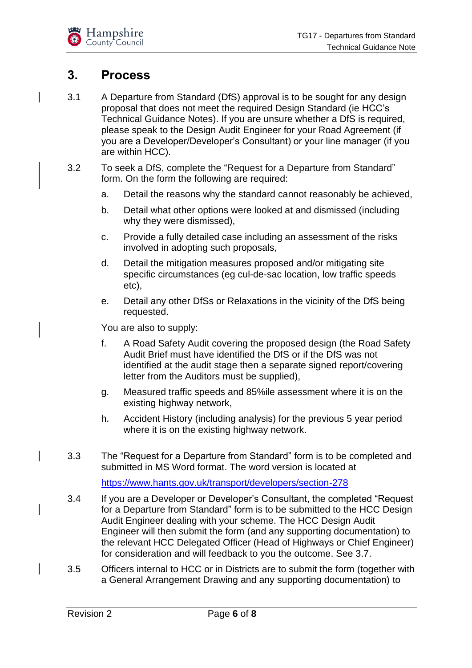

### <span id="page-5-0"></span>**3. Process**

- 3.1 A Departure from Standard (DfS) approval is to be sought for any design proposal that does not meet the required Design Standard (ie HCC's Technical Guidance Notes). If you are unsure whether a DfS is required, please speak to the Design Audit Engineer for your Road Agreement (if you are a Developer/Developer's Consultant) or your line manager (if you are within HCC).
- 3.2 To seek a DfS, complete the "Request for a Departure from Standard" form. On the form the following are required:
	- a. Detail the reasons why the standard cannot reasonably be achieved,
	- b. Detail what other options were looked at and dismissed (including why they were dismissed),
	- c. Provide a fully detailed case including an assessment of the risks involved in adopting such proposals,
	- d. Detail the mitigation measures proposed and/or mitigating site specific circumstances (eg cul-de-sac location, low traffic speeds etc),
	- e. Detail any other DfSs or Relaxations in the vicinity of the DfS being requested.

You are also to supply:

- f. A Road Safety Audit covering the proposed design (the Road Safety Audit Brief must have identified the DfS or if the DfS was not identified at the audit stage then a separate signed report/covering letter from the Auditors must be supplied),
- g. Measured traffic speeds and 85%ile assessment where it is on the existing highway network,
- h. Accident History (including analysis) for the previous 5 year period where it is on the existing highway network.
- 3.3 The "Request for a Departure from Standard" form is to be completed and submitted in MS Word format. The word version is located at

<https://www.hants.gov.uk/transport/developers/section-278>

- 3.4 If you are a Developer or Developer's Consultant, the completed "Request for a Departure from Standard" form is to be submitted to the HCC Design Audit Engineer dealing with your scheme. The HCC Design Audit Engineer will then submit the form (and any supporting documentation) to the relevant HCC Delegated Officer (Head of Highways or Chief Engineer) for consideration and will feedback to you the outcome. See 3.7.
- 3.5 Officers internal to HCC or in Districts are to submit the form (together with a General Arrangement Drawing and any supporting documentation) to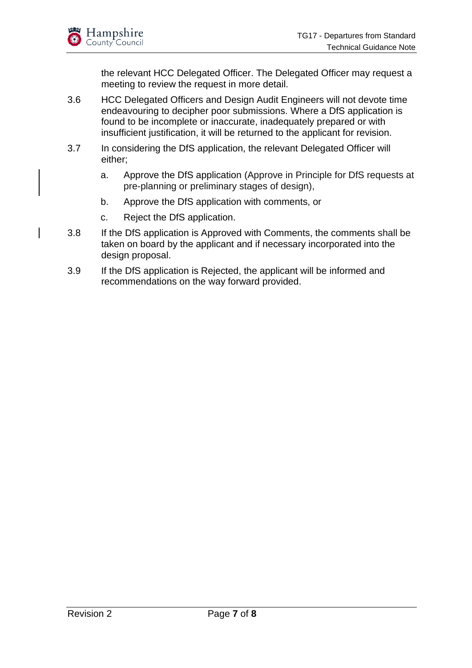the relevant HCC Delegated Officer. The Delegated Officer may request a meeting to review the request in more detail.

- 3.6 HCC Delegated Officers and Design Audit Engineers will not devote time endeavouring to decipher poor submissions. Where a DfS application is found to be incomplete or inaccurate, inadequately prepared or with insufficient justification, it will be returned to the applicant for revision.
- 3.7 In considering the DfS application, the relevant Delegated Officer will either;
	- a. Approve the DfS application (Approve in Principle for DfS requests at pre-planning or preliminary stages of design),
	- b. Approve the DfS application with comments, or
	- c. Reject the DfS application.
- 3.8 If the DfS application is Approved with Comments, the comments shall be taken on board by the applicant and if necessary incorporated into the design proposal.
- 3.9 If the DfS application is Rejected, the applicant will be informed and recommendations on the way forward provided.